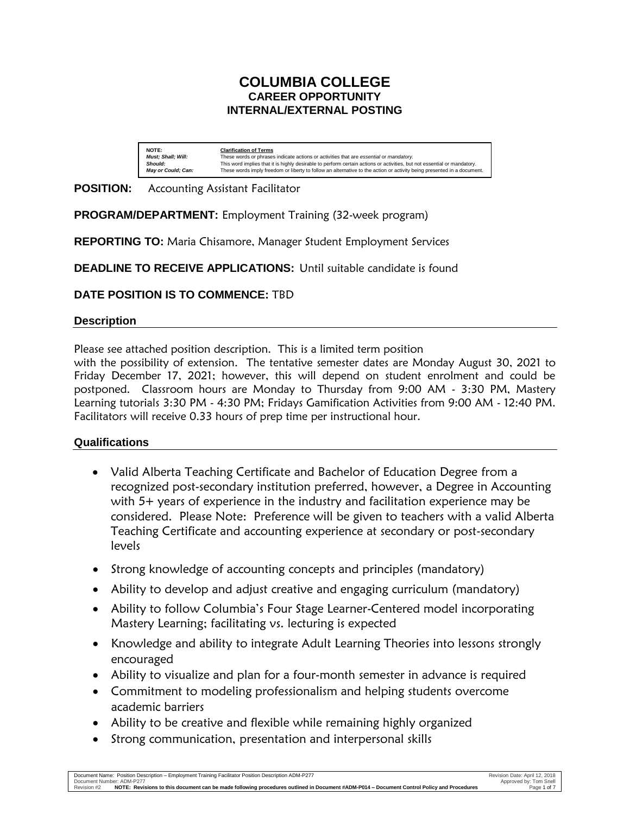# **COLUMBIA COLLEGE CAREER OPPORTUNITY INTERNAL/EXTERNAL POSTING**

| NOTE:                                | <b>Clarification of Terms</b>                                                                                                                                                                                                                     |
|--------------------------------------|---------------------------------------------------------------------------------------------------------------------------------------------------------------------------------------------------------------------------------------------------|
| <b>Must: Shall: Will:</b>            | These words or phrases indicate actions or activities that are essential or mandatory.                                                                                                                                                            |
| Should:<br><b>May or Could: Can:</b> | This word implies that it is highly desirable to perform certain actions or activities, but not essential or mandatory,<br>These words imply freedom or liberty to follow an alternative to the action or activity being presented in a document. |

## **POSITION:** Accounting Assistant Facilitator

**PROGRAM/DEPARTMENT:** Employment Training (32-week program)

**REPORTING TO:** Maria Chisamore, Manager Student Employment Services

**DEADLINE TO RECEIVE APPLICATIONS:** Until suitable candidate is found

## **DATE POSITION IS TO COMMENCE:** TBD

### **Description**

Please see attached position description. This is a limited term position

with the possibility of extension. The tentative semester dates are Monday August 30, 2021 to Friday December 17, 2021; however, this will depend on student enrolment and could be postponed. Classroom hours are Monday to Thursday from 9:00 AM - 3:30 PM, Mastery Learning tutorials 3:30 PM - 4:30 PM; Fridays Gamification Activities from 9:00 AM - 12:40 PM. Facilitators will receive 0.33 hours of prep time per instructional hour.

### **Qualifications**

- Valid Alberta Teaching Certificate and Bachelor of Education Degree from a recognized post-secondary institution preferred, however, a Degree in Accounting with 5+ years of experience in the industry and facilitation experience may be considered. Please Note: Preference will be given to teachers with a valid Alberta Teaching Certificate and accounting experience at secondary or post-secondary levels
- Strong knowledge of accounting concepts and principles (mandatory)
- Ability to develop and adjust creative and engaging curriculum (mandatory)
- Ability to follow Columbia's Four Stage Learner-Centered model incorporating Mastery Learning; facilitating vs. lecturing is expected
- Knowledge and ability to integrate Adult Learning Theories into lessons strongly encouraged
- Ability to visualize and plan for a four-month semester in advance is required
- Commitment to modeling professionalism and helping students overcome academic barriers
- Ability to be creative and flexible while remaining highly organized
- Strong communication, presentation and interpersonal skills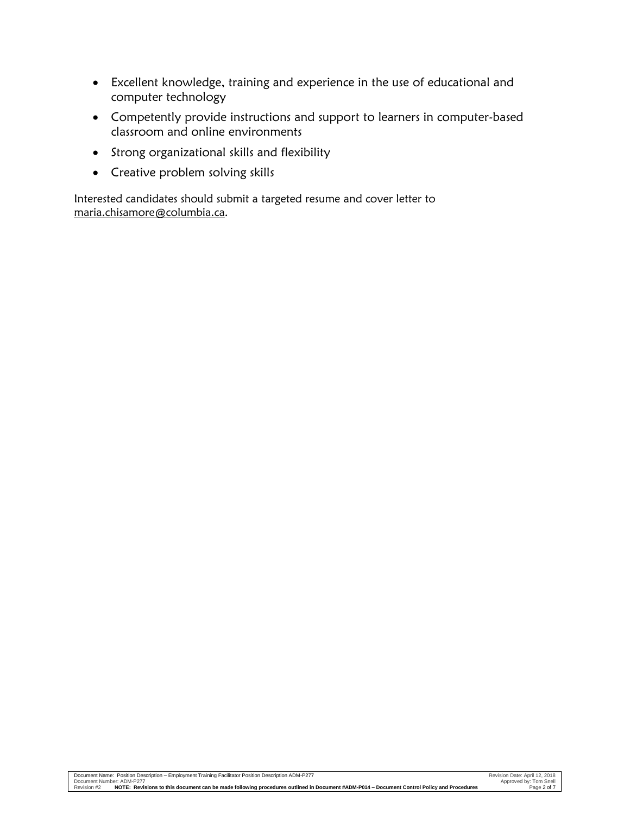- Excellent knowledge, training and experience in the use of educational and computer technology
- Competently provide instructions and support to learners in computer-based classroom and online environments
- Strong organizational skills and flexibility
- Creative problem solving skills

Interested candidates should submit a targeted resume and cover letter to maria.chisamore@columbia.ca.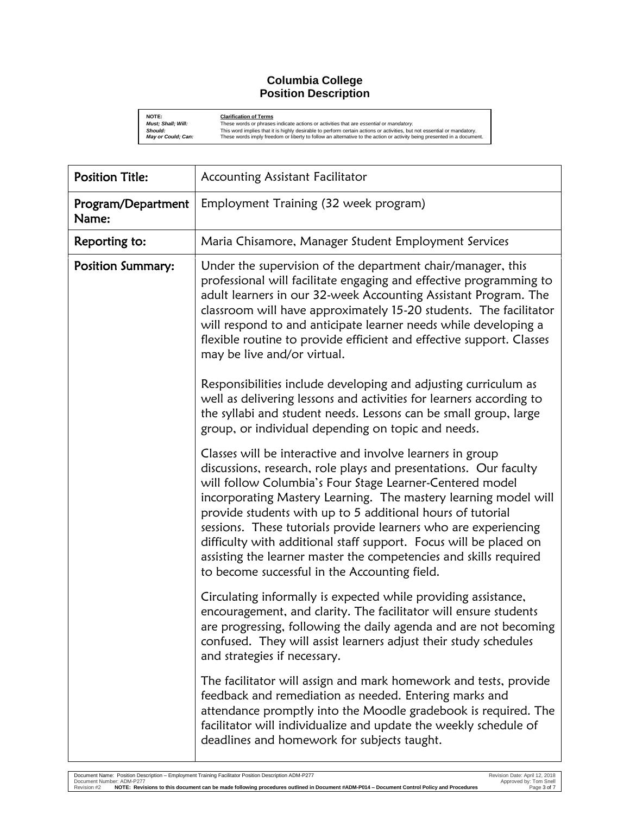### **Columbia College Position Description**

**NOTE:**<br> **Clarification of Terms<br>
<b>Should:** This word implies that it<br> **Should:** This word implies that it<br> **May or Could; Can:** These words imply free **Must; Shall; Will:** These words or phrases indicate actions or activities that are *essential* or *mandatory*.<br>S**hould: Only an** This word implies that it is highly desirable to perform certain actions or activities, but

| <b>Position Title:</b>      | Accounting Assistant Facilitator                                                                                                                                                                                                                                                                                                                                                                                                                                                                                                                                                         |
|-----------------------------|------------------------------------------------------------------------------------------------------------------------------------------------------------------------------------------------------------------------------------------------------------------------------------------------------------------------------------------------------------------------------------------------------------------------------------------------------------------------------------------------------------------------------------------------------------------------------------------|
| Program/Department<br>Name: | Employment Training (32 week program)                                                                                                                                                                                                                                                                                                                                                                                                                                                                                                                                                    |
| Reporting to:               | Maria Chisamore, Manager Student Employment Services                                                                                                                                                                                                                                                                                                                                                                                                                                                                                                                                     |
| <b>Position Summary:</b>    | Under the supervision of the department chair/manager, this<br>professional will facilitate engaging and effective programming to<br>adult learners in our 32-week Accounting Assistant Program. The<br>classroom will have approximately 15-20 students. The facilitator<br>will respond to and anticipate learner needs while developing a<br>flexible routine to provide efficient and effective support. Classes<br>may be live and/or virtual.                                                                                                                                      |
|                             | Responsibilities include developing and adjusting curriculum as<br>well as delivering lessons and activities for learners according to<br>the syllabi and student needs. Lessons can be small group, large<br>group, or individual depending on topic and needs.                                                                                                                                                                                                                                                                                                                         |
|                             | Classes will be interactive and involve learners in group<br>discussions, research, role plays and presentations. Our faculty<br>will follow Columbia's Four Stage Learner-Centered model<br>incorporating Mastery Learning. The mastery learning model will<br>provide students with up to 5 additional hours of tutorial<br>sessions. These tutorials provide learners who are experiencing<br>difficulty with additional staff support. Focus will be placed on<br>assisting the learner master the competencies and skills required<br>to become successful in the Accounting field. |
|                             | Circulating informally is expected while providing assistance,<br>encouragement, and clarity. The facilitator will ensure students<br>are progressing, following the daily agenda and are not becoming<br>confused. They will assist learners adjust their study schedules<br>and strategies if necessary.                                                                                                                                                                                                                                                                               |
|                             | The facilitator will assign and mark homework and tests, provide<br>feedback and remediation as needed. Entering marks and<br>attendance promptly into the Moodle gradebook is required. The<br>facilitator will individualize and update the weekly schedule of<br>deadlines and homework for subjects taught.                                                                                                                                                                                                                                                                          |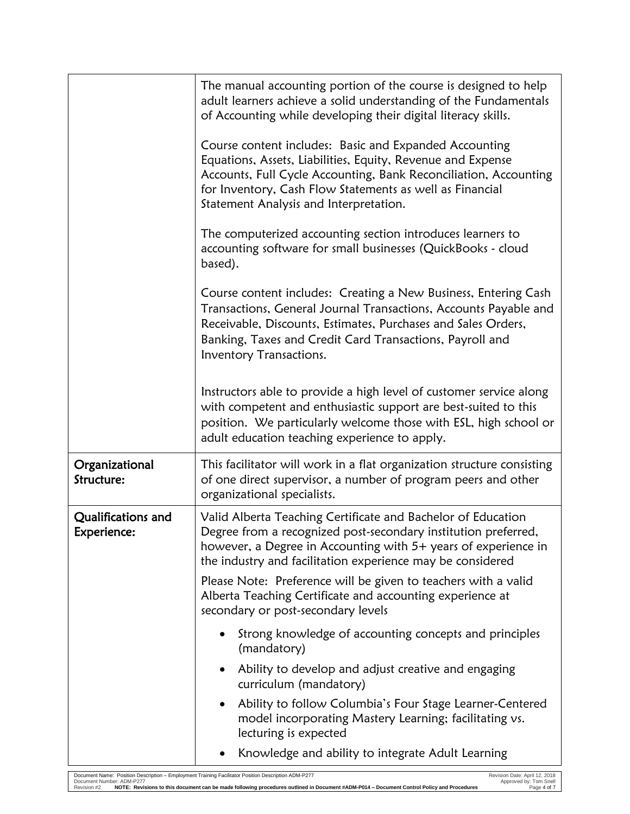|                                                                                                                                                 | The manual accounting portion of the course is designed to help<br>adult learners achieve a solid understanding of the Fundamentals<br>of Accounting while developing their digital literacy skills.                                                                                            |
|-------------------------------------------------------------------------------------------------------------------------------------------------|-------------------------------------------------------------------------------------------------------------------------------------------------------------------------------------------------------------------------------------------------------------------------------------------------|
|                                                                                                                                                 | Course content includes: Basic and Expanded Accounting<br>Equations, Assets, Liabilities, Equity, Revenue and Expense<br>Accounts, Full Cycle Accounting, Bank Reconciliation, Accounting<br>for Inventory, Cash Flow Statements as well as Financial<br>Statement Analysis and Interpretation. |
|                                                                                                                                                 | The computerized accounting section introduces learners to<br>accounting software for small businesses (QuickBooks - cloud<br>based).                                                                                                                                                           |
|                                                                                                                                                 | Course content includes: Creating a New Business, Entering Cash<br>Transactions, General Journal Transactions, Accounts Payable and<br>Receivable, Discounts, Estimates, Purchases and Sales Orders,<br>Banking, Taxes and Credit Card Transactions, Payroll and<br>Inventory Transactions.     |
|                                                                                                                                                 | Instructors able to provide a high level of customer service along<br>with competent and enthusiastic support are best-suited to this<br>position. We particularly welcome those with ESL, high school or<br>adult education teaching experience to apply.                                      |
| Organizational<br>Structure:                                                                                                                    | This facilitator will work in a flat organization structure consisting<br>of one direct supervisor, a number of program peers and other<br>organizational specialists.                                                                                                                          |
| Qualifications and<br>Experience:                                                                                                               | Valid Alberta Teaching Certificate and Bachelor of Education<br>Degree from a recognized post-secondary institution preferred.<br>however, a Degree in Accounting with 5+ years of experience in<br>the industry and facilitation experience may be considered                                  |
|                                                                                                                                                 | Please Note: Preference will be given to teachers with a valid<br>Alberta Teaching Certificate and accounting experience at<br>secondary or post-secondary levels                                                                                                                               |
|                                                                                                                                                 | Strong knowledge of accounting concepts and principles<br>(mandatory)                                                                                                                                                                                                                           |
|                                                                                                                                                 | Ability to develop and adjust creative and engaging<br>curriculum (mandatory)                                                                                                                                                                                                                   |
|                                                                                                                                                 | Ability to follow Columbia's Four Stage Learner-Centered<br>model incorporating Mastery Learning; facilitating vs.<br>lecturing is expected                                                                                                                                                     |
|                                                                                                                                                 | Knowledge and ability to integrate Adult Learning                                                                                                                                                                                                                                               |
| Document Name: Position Description - Employment Training Facilitator Position Description ADM-P277<br>Document Number: ADM-P277<br>Revision #2 | Revision Date: April 12, 2018<br>Approved by: Tom Snell<br>NOTE: Revisions to this document can be made following procedures outlined in Document #ADM-P014 - Document Control Policy and Procedures<br>Page 4 of 7                                                                             |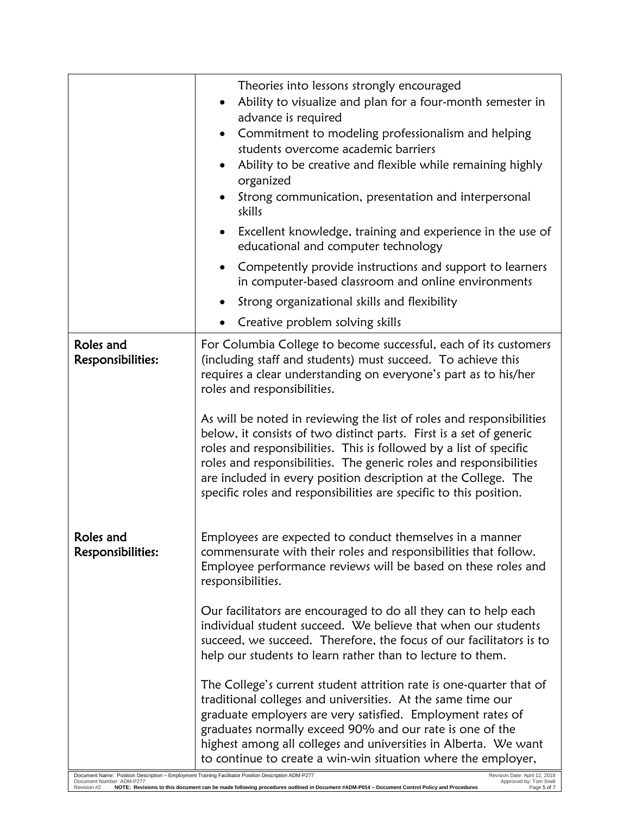|                                                                                                                                  | Theories into lessons strongly encouraged<br>Ability to visualize and plan for a four-month semester in<br>advance is required<br>Commitment to modeling professionalism and helping<br>students overcome academic barriers<br>Ability to be creative and flexible while remaining highly<br>organized<br>Strong communication, presentation and interpersonal<br>skills                                                                                                                                                                                                                                 |
|----------------------------------------------------------------------------------------------------------------------------------|----------------------------------------------------------------------------------------------------------------------------------------------------------------------------------------------------------------------------------------------------------------------------------------------------------------------------------------------------------------------------------------------------------------------------------------------------------------------------------------------------------------------------------------------------------------------------------------------------------|
|                                                                                                                                  | Excellent knowledge, training and experience in the use of<br>educational and computer technology                                                                                                                                                                                                                                                                                                                                                                                                                                                                                                        |
|                                                                                                                                  | Competently provide instructions and support to learners<br>in computer-based classroom and online environments                                                                                                                                                                                                                                                                                                                                                                                                                                                                                          |
|                                                                                                                                  | Strong organizational skills and flexibility                                                                                                                                                                                                                                                                                                                                                                                                                                                                                                                                                             |
|                                                                                                                                  | Creative problem solving skills                                                                                                                                                                                                                                                                                                                                                                                                                                                                                                                                                                          |
| Roles and<br>Responsibilities:                                                                                                   | For Columbia College to become successful, each of its customers<br>(including staff and students) must succeed. To achieve this<br>requires a clear understanding on everyone's part as to his/her<br>roles and responsibilities.                                                                                                                                                                                                                                                                                                                                                                       |
|                                                                                                                                  | As will be noted in reviewing the list of roles and responsibilities<br>below, it consists of two distinct parts. First is a set of generic<br>roles and responsibilities. This is followed by a list of specific<br>roles and responsibilities. The generic roles and responsibilities<br>are included in every position description at the College. The<br>specific roles and responsibilities are specific to this position.                                                                                                                                                                          |
| Roles and<br>Responsibilities:                                                                                                   | Employees are expected to conduct themselves in a manner<br>commensurate with their roles and responsibilities that follow.<br>Employee performance reviews will be based on these roles and<br>responsibilities.                                                                                                                                                                                                                                                                                                                                                                                        |
|                                                                                                                                  | Our facilitators are encouraged to do all they can to help each<br>individual student succeed. We believe that when our students<br>succeed, we succeed. Therefore, the focus of our facilitators is to<br>help our students to learn rather than to lecture to them.                                                                                                                                                                                                                                                                                                                                    |
| Document Name: Position Description - Employment Training Facilitator Position Description ADM-P277<br>Document Number: ADM-P277 | The College's current student attrition rate is one-quarter that of<br>traditional colleges and universities. At the same time our<br>graduate employers are very satisfied. Employment rates of<br>graduates normally exceed 90% and our rate is one of the<br>highest among all colleges and universities in Alberta. We want<br>to continue to create a win-win situation where the employer,<br>Revision Date: April 12, 2018<br>Approved by: Tom Snell<br>NOTE: Revisions to this document can be made following procedures outlined in Document #ADM-P014 - Document Control Policy and Procedures |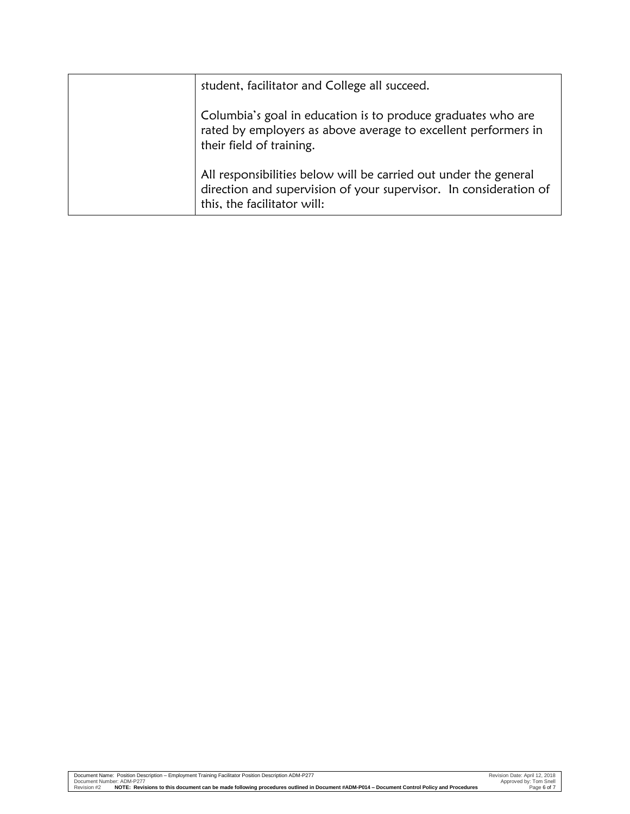| student, facilitator and College all succeed.                                                                                                                        |
|----------------------------------------------------------------------------------------------------------------------------------------------------------------------|
| Columbia's goal in education is to produce graduates who are<br>rated by employers as above average to excellent performers in<br>their field of training.           |
| All responsibilities below will be carried out under the general<br>direction and supervision of your supervisor. In consideration of<br>this, the facilitator will: |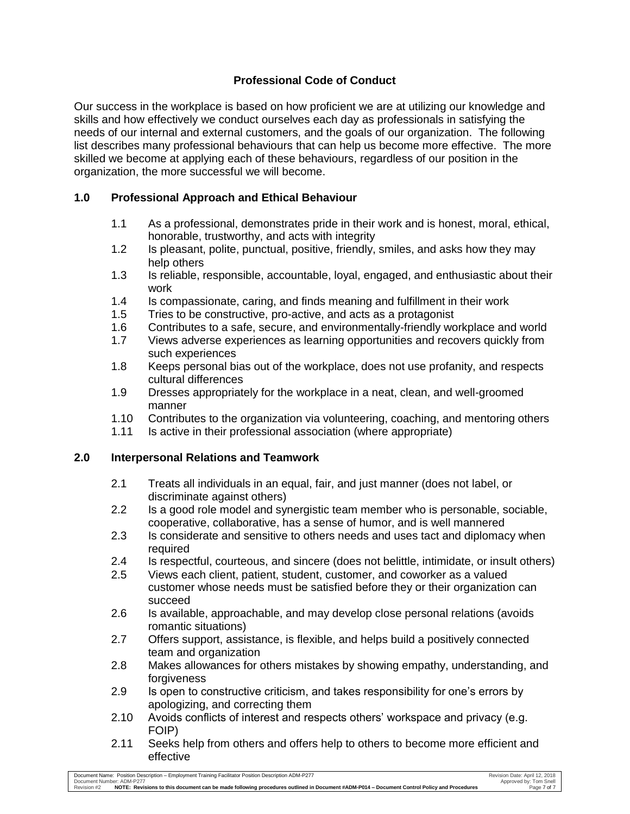# **Professional Code of Conduct**

Our success in the workplace is based on how proficient we are at utilizing our knowledge and skills and how effectively we conduct ourselves each day as professionals in satisfying the needs of our internal and external customers, and the goals of our organization. The following list describes many professional behaviours that can help us become more effective. The more skilled we become at applying each of these behaviours, regardless of our position in the organization, the more successful we will become.

# **1.0 Professional Approach and Ethical Behaviour**

- 1.1 As a professional, demonstrates pride in their work and is honest, moral, ethical, honorable, trustworthy, and acts with integrity
- 1.2 Is pleasant, polite, punctual, positive, friendly, smiles, and asks how they may help others
- 1.3 Is reliable, responsible, accountable, loyal, engaged, and enthusiastic about their work
- 1.4 Is compassionate, caring, and finds meaning and fulfillment in their work
- 1.5 Tries to be constructive, pro-active, and acts as a protagonist
- 1.6 Contributes to a safe, secure, and environmentally-friendly workplace and world
- 1.7 Views adverse experiences as learning opportunities and recovers quickly from such experiences
- 1.8 Keeps personal bias out of the workplace, does not use profanity, and respects cultural differences
- 1.9 Dresses appropriately for the workplace in a neat, clean, and well-groomed manner
- 1.10 Contributes to the organization via volunteering, coaching, and mentoring others
- 1.11 Is active in their professional association (where appropriate)

# **2.0 Interpersonal Relations and Teamwork**

- 2.1 Treats all individuals in an equal, fair, and just manner (does not label, or discriminate against others)
- 2.2 Is a good role model and synergistic team member who is personable, sociable, cooperative, collaborative, has a sense of humor, and is well mannered
- 2.3 Is considerate and sensitive to others needs and uses tact and diplomacy when required
- 2.4 Is respectful, courteous, and sincere (does not belittle, intimidate, or insult others)
- 2.5 Views each client, patient, student, customer, and coworker as a valued customer whose needs must be satisfied before they or their organization can succeed
- 2.6 Is available, approachable, and may develop close personal relations (avoids romantic situations)
- 2.7 Offers support, assistance, is flexible, and helps build a positively connected team and organization
- 2.8 Makes allowances for others mistakes by showing empathy, understanding, and forgiveness
- 2.9 Is open to constructive criticism, and takes responsibility for one's errors by apologizing, and correcting them
- 2.10 Avoids conflicts of interest and respects others' workspace and privacy (e.g. FOIP)
- 2.11 Seeks help from others and offers help to others to become more efficient and effective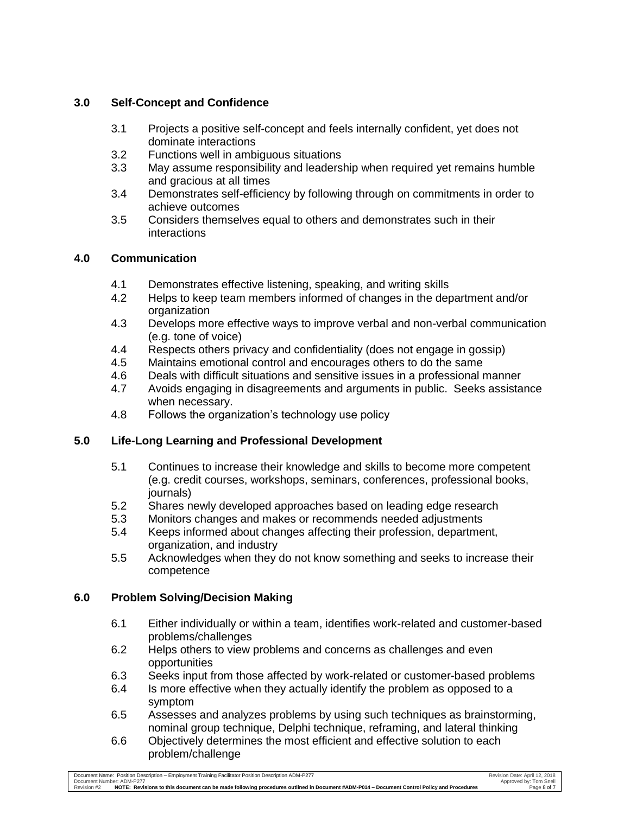# **3.0 Self-Concept and Confidence**

- 3.1 Projects a positive self-concept and feels internally confident, yet does not dominate interactions
- 3.2 Functions well in ambiguous situations
- 3.3 May assume responsibility and leadership when required yet remains humble and gracious at all times
- 3.4 Demonstrates self-efficiency by following through on commitments in order to achieve outcomes
- 3.5 Considers themselves equal to others and demonstrates such in their interactions

# **4.0 Communication**

- 4.1 Demonstrates effective listening, speaking, and writing skills
- 4.2 Helps to keep team members informed of changes in the department and/or organization
- 4.3 Develops more effective ways to improve verbal and non-verbal communication (e.g. tone of voice)
- 4.4 Respects others privacy and confidentiality (does not engage in gossip)
- 4.5 Maintains emotional control and encourages others to do the same
- 4.6 Deals with difficult situations and sensitive issues in a professional manner
- 4.7 Avoids engaging in disagreements and arguments in public. Seeks assistance when necessary.
- 4.8 Follows the organization's technology use policy

# **5.0 Life-Long Learning and Professional Development**

- 5.1 Continues to increase their knowledge and skills to become more competent (e.g. credit courses, workshops, seminars, conferences, professional books, journals)
- 5.2 Shares newly developed approaches based on leading edge research
- 5.3 Monitors changes and makes or recommends needed adjustments
- 5.4 Keeps informed about changes affecting their profession, department, organization, and industry
- 5.5 Acknowledges when they do not know something and seeks to increase their competence

# **6.0 Problem Solving/Decision Making**

- 6.1 Either individually or within a team, identifies work-related and customer-based problems/challenges
- 6.2 Helps others to view problems and concerns as challenges and even opportunities
- 6.3 Seeks input from those affected by work-related or customer-based problems
- 6.4 Is more effective when they actually identify the problem as opposed to a symptom
- 6.5 Assesses and analyzes problems by using such techniques as brainstorming, nominal group technique, Delphi technique, reframing, and lateral thinking
- 6.6 Objectively determines the most efficient and effective solution to each problem/challenge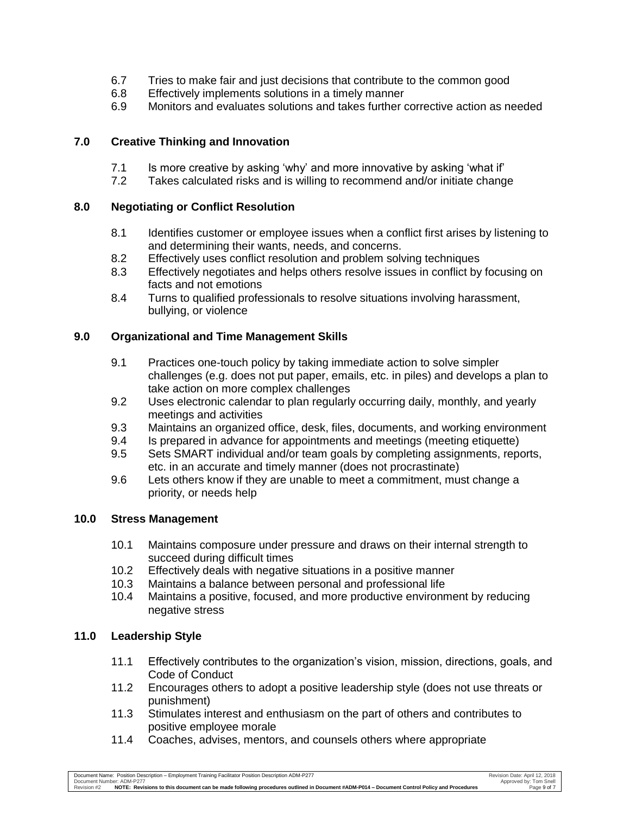- 6.7 Tries to make fair and just decisions that contribute to the common good
- 6.8 Effectively implements solutions in a timely manner
- 6.9 Monitors and evaluates solutions and takes further corrective action as needed

## **7.0 Creative Thinking and Innovation**

- 7.1 Is more creative by asking 'why' and more innovative by asking 'what if'
- 7.2 Takes calculated risks and is willing to recommend and/or initiate change

## **8.0 Negotiating or Conflict Resolution**

- 8.1 Identifies customer or employee issues when a conflict first arises by listening to and determining their wants, needs, and concerns.
- 8.2 Effectively uses conflict resolution and problem solving techniques
- 8.3 Effectively negotiates and helps others resolve issues in conflict by focusing on facts and not emotions
- 8.4 Turns to qualified professionals to resolve situations involving harassment, bullying, or violence

## **9.0 Organizational and Time Management Skills**

- 9.1 Practices one-touch policy by taking immediate action to solve simpler challenges (e.g. does not put paper, emails, etc. in piles) and develops a plan to take action on more complex challenges
- 9.2 Uses electronic calendar to plan regularly occurring daily, monthly, and yearly meetings and activities
- 9.3 Maintains an organized office, desk, files, documents, and working environment
- 9.4 Is prepared in advance for appointments and meetings (meeting etiquette)
- 9.5 Sets SMART individual and/or team goals by completing assignments, reports, etc. in an accurate and timely manner (does not procrastinate)
- 9.6 Lets others know if they are unable to meet a commitment, must change a priority, or needs help

### **10.0 Stress Management**

- 10.1 Maintains composure under pressure and draws on their internal strength to succeed during difficult times
- 10.2 Effectively deals with negative situations in a positive manner
- 10.3 Maintains a balance between personal and professional life
- 10.4 Maintains a positive, focused, and more productive environment by reducing negative stress

# **11.0 Leadership Style**

- 11.1 Effectively contributes to the organization's vision, mission, directions, goals, and Code of Conduct
- 11.2 Encourages others to adopt a positive leadership style (does not use threats or punishment)
- 11.3 Stimulates interest and enthusiasm on the part of others and contributes to positive employee morale
- 11.4 Coaches, advises, mentors, and counsels others where appropriate

Document Name: Position Description – Employment Training Facilitator Position Description ADM-P277 Revision Date: April 12, 2018<br>Document Number: ADM-P277 Approved by: Tom Snell

Document Number: ADM-P277<br>Revision #2 **NOTE: Revisions to this document can be made following procedures outlined in Document #ADM-P014 – Document Control Policy and Procedures Page 9 of 7**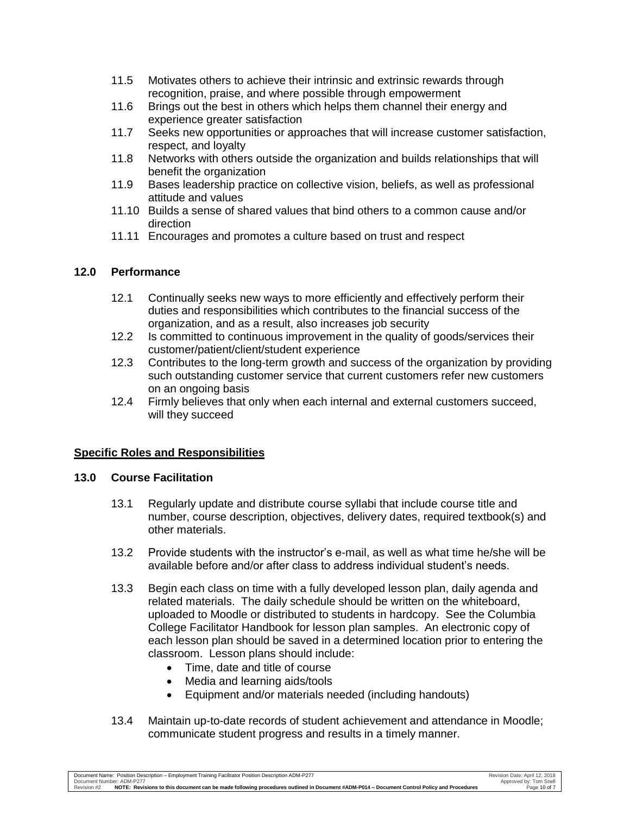- 11.5 Motivates others to achieve their intrinsic and extrinsic rewards through recognition, praise, and where possible through empowerment
- 11.6 Brings out the best in others which helps them channel their energy and experience greater satisfaction
- 11.7 Seeks new opportunities or approaches that will increase customer satisfaction, respect, and loyalty
- 11.8 Networks with others outside the organization and builds relationships that will benefit the organization
- 11.9 Bases leadership practice on collective vision, beliefs, as well as professional attitude and values
- 11.10 Builds a sense of shared values that bind others to a common cause and/or direction
- 11.11 Encourages and promotes a culture based on trust and respect

# **12.0 Performance**

- 12.1 Continually seeks new ways to more efficiently and effectively perform their duties and responsibilities which contributes to the financial success of the organization, and as a result, also increases job security
- 12.2 Is committed to continuous improvement in the quality of goods/services their customer/patient/client/student experience
- 12.3 Contributes to the long-term growth and success of the organization by providing such outstanding customer service that current customers refer new customers on an ongoing basis
- 12.4 Firmly believes that only when each internal and external customers succeed, will they succeed

# **Specific Roles and Responsibilities**

# **13.0 Course Facilitation**

- 13.1 Regularly update and distribute course syllabi that include course title and number, course description, objectives, delivery dates, required textbook(s) and other materials.
- 13.2 Provide students with the instructor's e-mail, as well as what time he/she will be available before and/or after class to address individual student's needs.
- 13.3 Begin each class on time with a fully developed lesson plan, daily agenda and related materials. The daily schedule should be written on the whiteboard, uploaded to Moodle or distributed to students in hardcopy. See the Columbia College Facilitator Handbook for lesson plan samples. An electronic copy of each lesson plan should be saved in a determined location prior to entering the classroom. Lesson plans should include:
	- Time, date and title of course
	- Media and learning aids/tools
	- Equipment and/or materials needed (including handouts)
- 13.4 Maintain up-to-date records of student achievement and attendance in Moodle; communicate student progress and results in a timely manner.